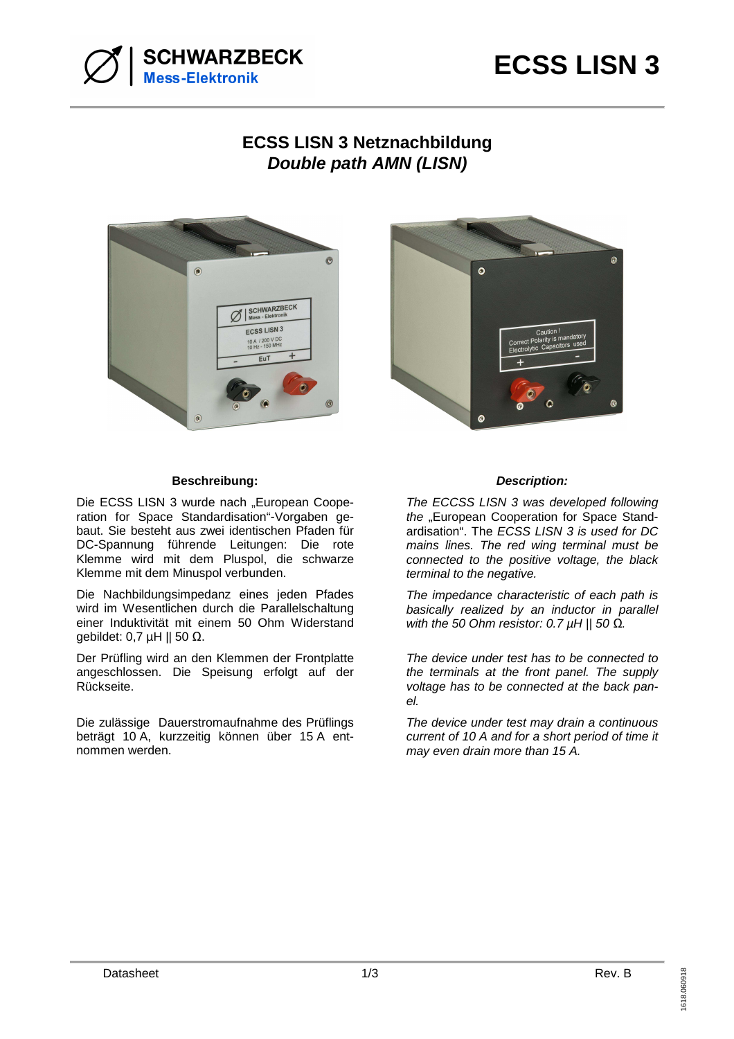

## **ECSS LISN 3 Netznachbildung Double path AMN (LISN)**





## **Beschreibung: Description:**

Die ECSS LISN 3 wurde nach "European Cooperation for Space Standardisation"-Vorgaben gebaut. Sie besteht aus zwei identischen Pfaden für DC-Spannung führende Leitungen: Die rote Klemme wird mit dem Pluspol, die schwarze Klemme mit dem Minuspol verbunden.

Die Nachbildungsimpedanz eines jeden Pfades wird im Wesentlichen durch die Parallelschaltung einer Induktivität mit einem 50 Ohm Widerstand gebildet: 0,7 µH || 50 Ω.

Der Prüfling wird an den Klemmen der Frontplatte angeschlossen. Die Speisung erfolgt auf der Rückseite.

Die zulässige Dauerstromaufnahme des Prüflings beträgt 10 A, kurzzeitig können über 15 A entnommen werden.

The ECCSS LISN 3 was developed following the "European Cooperation for Space Standardisation". The ECSS LISN 3 is used for DC mains lines. The red wing terminal must be connected to the positive voltage, the black terminal to the negative.

The impedance characteristic of each path is basically realized by an inductor in parallel with the 50 Ohm resistor: 0.7 µH || 50 *Ω*.

The device under test has to be connected to the terminals at the front panel. The supply voltage has to be connected at the back panel.

The device under test may drain a continuous current of 10 A and for a short period of time it may even drain more than 15 A.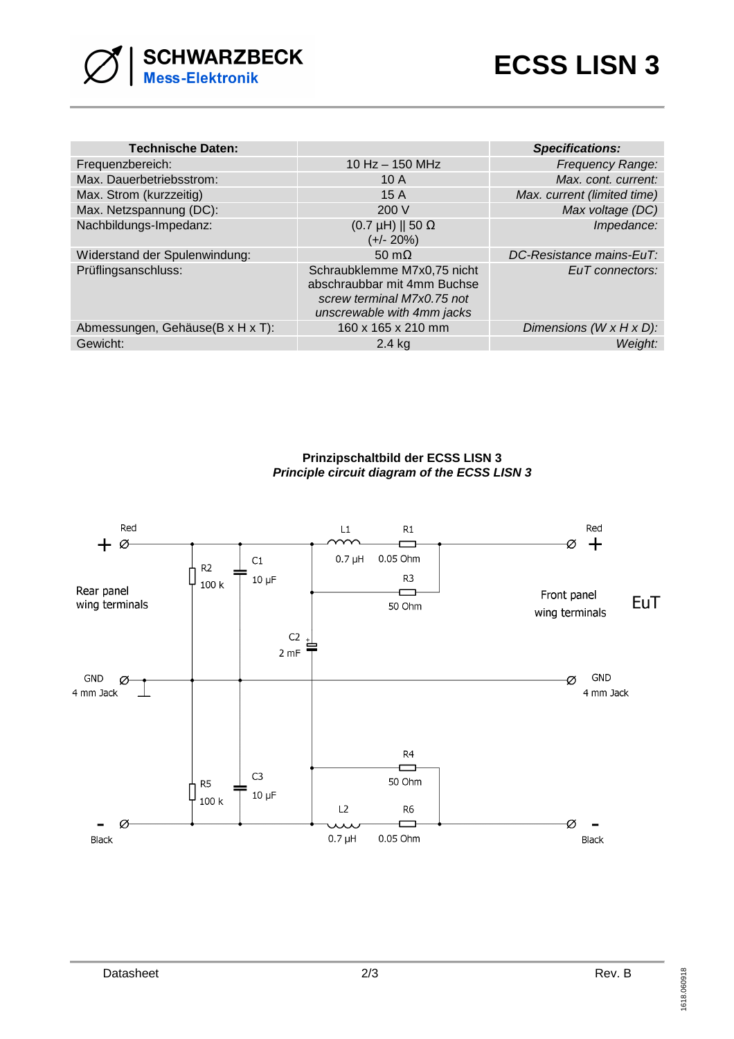

| <b>Technische Daten:</b>         |                                                                                                                        | <b>Specifications:</b>                |
|----------------------------------|------------------------------------------------------------------------------------------------------------------------|---------------------------------------|
| Frequenzbereich:                 | $10$ Hz $-$ 150 MHz                                                                                                    | <b>Frequency Range:</b>               |
| Max. Dauerbetriebsstrom:         | 10A                                                                                                                    | Max. cont. current:                   |
| Max. Strom (kurzzeitig)          | 15A                                                                                                                    | Max. current (limited time)           |
| Max. Netzspannung (DC):          | 200 V                                                                                                                  | Max voltage (DC)                      |
| Nachbildungs-Impedanz:           | $(0.7 \mu H)$    50 $\Omega$<br>$(+/- 20%)$                                                                            | Impedance:                            |
| Widerstand der Spulenwindung:    | 50 m $\Omega$                                                                                                          | DC-Resistance mains-EuT:              |
| Prüflingsanschluss:              | Schraubklemme M7x0,75 nicht<br>abschraubbar mit 4mm Buchse<br>screw terminal M7x0.75 not<br>unscrewable with 4mm jacks | EuT connectors:                       |
| Abmessungen, Gehäuse(B x H x T): | 160 x 165 x 210 mm                                                                                                     | Dimensions ( $W \times H \times D$ ): |
| Gewicht:                         | $2.4$ kg                                                                                                               | Weight:                               |

**Prinzipschaltbild der ECSS LISN 3 Principle circuit diagram of the ECSS LISN 3**